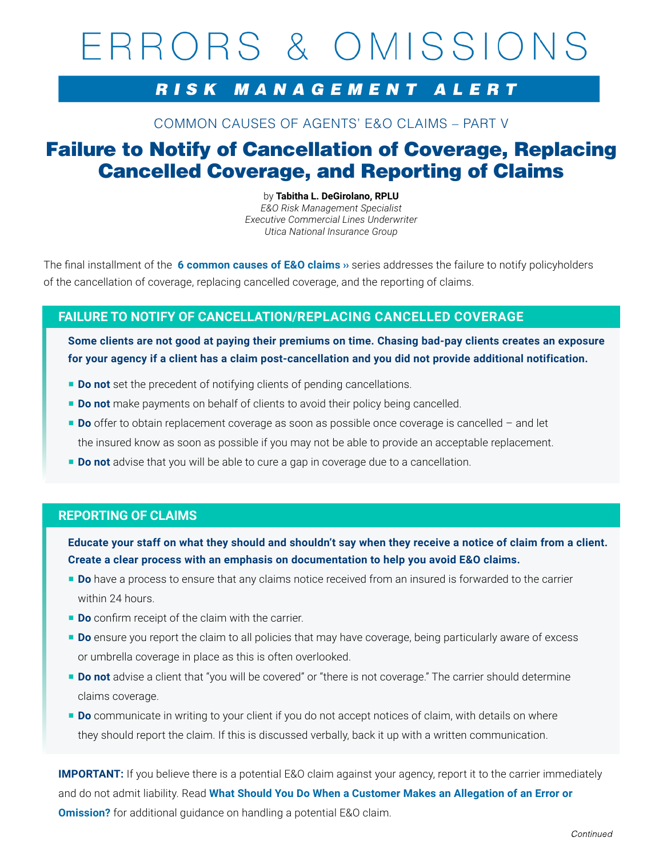# ERRORS & OMISSIONS

## RISK MANAGEMENT ALERT

COMMON CAUSES OF AGENTS' E&O CLAIMS – PART V

# Failure to Notify of Cancellation of Coverage, Replacing Cancelled Coverage, and Reporting of Claims

by **Tabitha L. DeGirolano, RPLU**  *E&O Risk Management Specialist Executive Commercial Lines Underwriter Utica National Insurance Group*

The final installment of the **[6 common causes of E&O claims ››](https://secure.uticanational.com/RulCov-1Vol2/common/star product manuals/loss control material/5-R-1416.pdf)** series addresses the failure to notify policyholders of the cancellation of coverage, replacing cancelled coverage, and the reporting of claims.

## **FAILURE TO NOTIFY OF CANCELLATION/REPLACING CANCELLED COVERAGE**

**Some clients are not good at paying their premiums on time. Chasing bad-pay clients creates an exposure for your agency if a client has a claim post-cancellation and you did not provide additional notification.**

- **Do not** set the precedent of notifying clients of pending cancellations.
- **Do not** make payments on behalf of clients to avoid their policy being cancelled.
- **Do** offer to obtain replacement coverage as soon as possible once coverage is cancelled and let the insured know as soon as possible if you may not be able to provide an acceptable replacement.
- **Do not** advise that you will be able to cure a gap in coverage due to a cancellation.

### **REPORTING OF CLAIMS**

**Educate your staff on what they should and shouldn't say when they receive a notice of claim from a client. Create a clear process with an emphasis on documentation to help you avoid E&O claims.**

- **Do** have a process to ensure that any claims notice received from an insured is forwarded to the carrier within 24 hours.
- **Do** confirm receipt of the claim with the carrier.
- **Do** ensure you report the claim to all policies that may have coverage, being particularly aware of excess or umbrella coverage in place as this is often overlooked.
- **Do not** advise a client that "you will be covered" or "there is not coverage." The carrier should determine claims coverage.
- **Do** communicate in writing to your client if you do not accept notices of claim, with details on where they should report the claim. If this is discussed verbally, back it up with a written communication.

**IMPORTANT:** If you believe there is a potential E&O claim against your agency, report it to the carrier immediately and do not admit liability. Read **[What Should You Do When a Customer Makes an Allegation of an Error or](https://secure.uticanational.com/RulCov-1Vol2/Common/STAR Product Manuals/E&O/Promotional/5-R-1320.pdf)  [Omission?](https://secure.uticanational.com/RulCov-1Vol2/Common/STAR Product Manuals/E&O/Promotional/5-R-1320.pdf)** for additional quidance on handling a potential E&O claim.